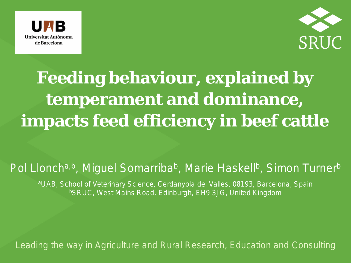



## **Feeding behaviour, explained by temperament and dominance, impacts feed efficiency in beef cattle**

#### Pol Lloncha,b, Miguel Somarriba<sup>b</sup>, Marie Haskell<sup>b</sup>, Simon Turner<sup>b</sup>

aUAB, School of Veterinary Science, Cerdanyola del Valles, 08193, Barcelona, Spain bSRUC, West Mains Road, Edinburgh, EH9 3JG, United Kingdom

*Leading the way in Agriculture and Rural Research, Education and Consulting*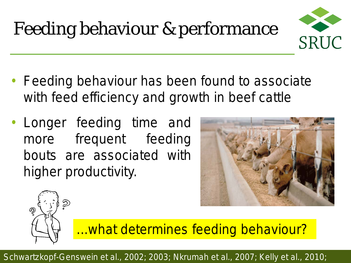# Feeding behaviour & performance



- Feeding behaviour has been found to associate with feed efficiency and growth in beef cattle
- Longer feeding time and more frequent feeding bouts are associated with higher productivity.





...what determines feeding behaviour?

Schwartzkopf-Genswein et al., 2002; 2003; Nkrumah et al., 2007; Kelly et al., 2010;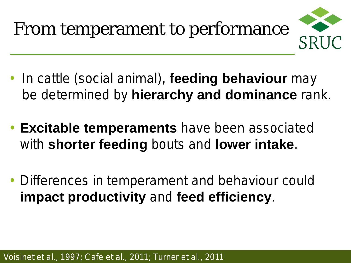

- In cattle (social animal), **feeding behaviour** may be determined by **hierarchy and dominance** rank.
- **Excitable temperaments** have been associated with **shorter feeding** bouts and **lower intake**.
- Differences in temperament and behaviour could **impact productivity** and **feed efficiency**.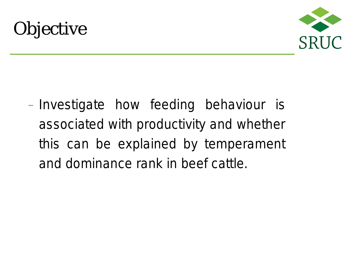



– Investigate how feeding behaviour is associated with productivity and whether this can be explained by temperament and dominance rank in beef cattle.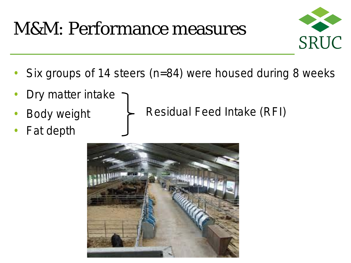## M&M: Performance measures



- Six groups of 14 steers (n=84) were housed during 8 weeks
- Dry matter intake
- **Body weight**
- Fat depth

Residual Feed Intake (RFI)

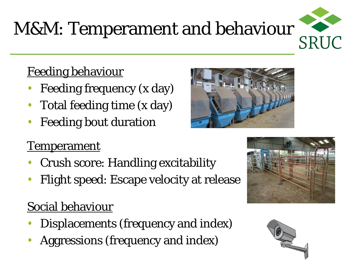# M&M: Temperament and behaviour

### Feeding behaviour

- Feeding frequency (x day)
- Total feeding time (x day)
- **Feeding bout duration**

### **Temperament**

- Crush score: Handling excitability
- Flight speed: Escape velocity at release

### Social behaviour

- Displacements (frequency and index)
- Aggressions (frequency and index)







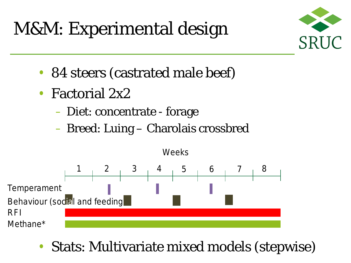M&M: Experimental design



- 84 steers (castrated male beef)
- Factorial 2x2
	- Diet: concentrate forage
	- Breed: Luing Charolais crossbred



• Stats: Multivariate mixed models (stepwise)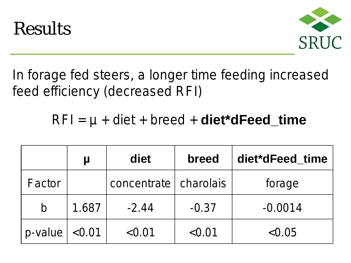



In forage fed steers, a longer time feeding increased feed efficiency (decreased RFI)

### RFI = µ + diet + breed + **diet\*dFeed\_time**

|            |        | diet                    | breed   | diet*dFeed_time |
|------------|--------|-------------------------|---------|-----------------|
| Factor     |        | concentrate   charolais |         | forage          |
| $\bm{D}$   | 1.687  | $-2.44$                 | $-0.37$ | $-0.0014$       |
| $p$ -value | < 0.01 | < 0.01                  | < 0.01  | < 0.05          |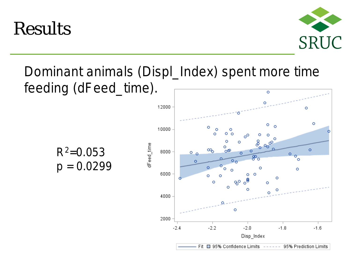Results



#### Dominant animals (*Displ\_Index*) spent more time feeding (*dFeed\_time*).  $\circ$

 $R^2 = 0.053$ *p* = 0.0299

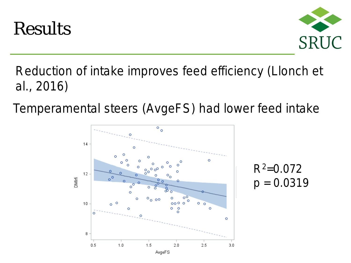



### Reduction of intake improves feed efficiency (Llonch et al., 2016)

Temperamental steers (AvgeFS) had lower feed intake



 $R^2 = 0.072$  $p = 0.0319$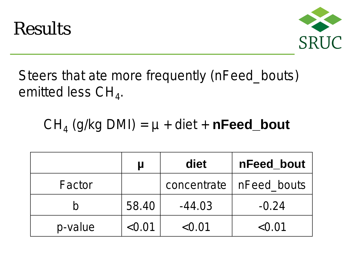



## Steers that ate more frequently (nFeed\_bouts) emitted less  $CH<sub>4</sub>$ .

## $CH<sub>4</sub>$  (g/kg DMI) =  $\mu$  + diet + **nFeed\_bout**

|         |        | diet        | nFeed bout  |
|---------|--------|-------------|-------------|
| Factor  |        | concentrate | nFeed_bouts |
| Ŋ       | 58.40  | $-44.03$    | $-0.24$     |
| p-value | < 0.01 | < 0.01      | < 0.01      |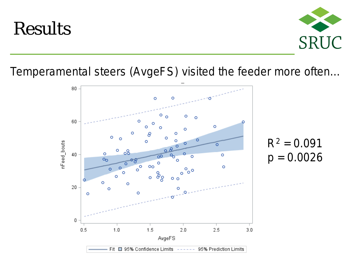## Results



Temperamental steers (AvgeFS) visited the feeder more often…



 $R^2 = 0.091$ *p =* 0.0026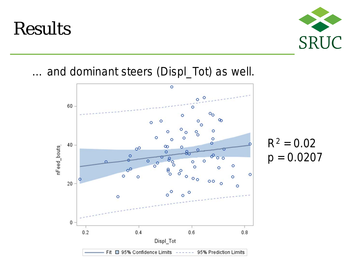## Results



… and dominant steers (Displ\_Tot) as well.



 $R^2 = 0.02$  $p = 0.0207$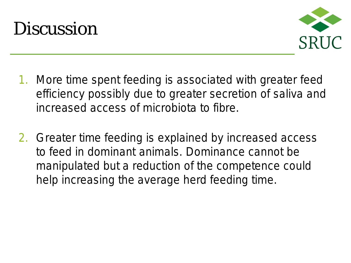



- 1. More time spent feeding is associated with greater feed efficiency possibly due to greater secretion of saliva and increased access of microbiota to fibre.
- 2. Greater time feeding is explained by increased access to feed in dominant animals. Dominance cannot be manipulated but a reduction of the competence could help increasing the average herd feeding time.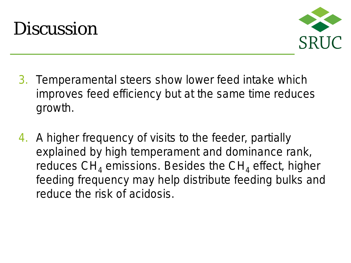



- 3. Temperamental steers show lower feed intake which improves feed efficiency but at the same time reduces growth.
- 4. A higher frequency of visits to the feeder, partially explained by high temperament and dominance rank, reduces  $CH<sub>4</sub>$  emissions. Besides the  $CH<sub>4</sub>$  effect, higher feeding frequency may help distribute feeding bulks and reduce the risk of acidosis.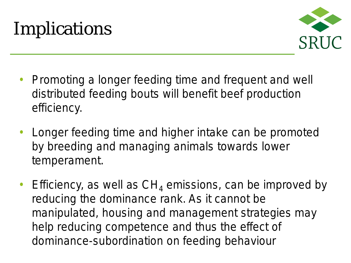## Implications



- Promoting a longer feeding time and frequent and well distributed feeding bouts will benefit beef production efficiency.
- Longer feeding time and higher intake can be promoted by breeding and managing animals towards lower temperament.
- Efficiency, as well as  $CH<sub>4</sub>$  emissions, can be improved by reducing the dominance rank. As it cannot be manipulated, housing and management strategies may help reducing competence and thus the effect of dominance-subordination on feeding behaviour